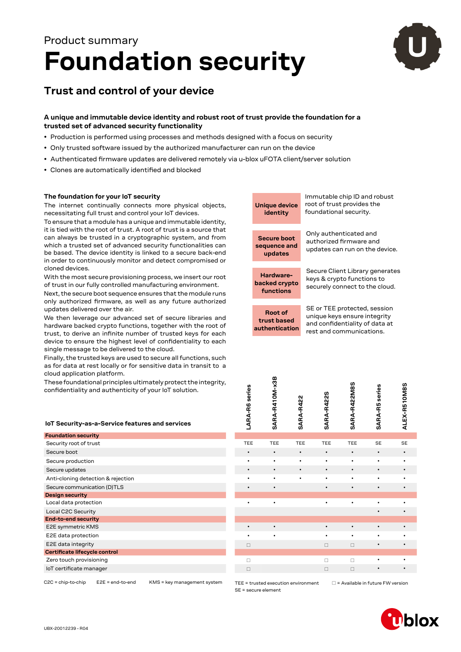# **Foundation security** Product summary



# **Trust and control of your device**

## **A unique and immutable device identity and robust root of trust provide the foundation for a trusted set of advanced security functionality**

- Production is performed using processes and methods designed with a focus on security
- Only trusted software issued by the authorized manufacturer can run on the device
- Authenticated firmware updates are delivered remotely via u‑blox uFOTA client/server solution
- Clones are automatically identified and blocked

### **The foundation for your IoT security**

The internet continually connects more physical objects, necessitating full trust and control your IoT devices.

To ensure that a module has a unique and immutable identity, it is tied with the root of trust. A root of trust is a source that can always be trusted in a cryptographic system, and from which a trusted set of advanced security functionalities can be based. The device identity is linked to a secure back-end in order to continuously monitor and detect compromised or cloned devices.

With the most secure provisioning process, we insert our root of trust in our fully controlled manufacturing environment.

Next, the secure boot sequence ensures that the module runs only authorized firmware, as well as any future authorized updates delivered over the air.

We then leverage our advanced set of secure libraries and hardware backed crypto functions, together with the root of trust, to derive an infinite number of trusted keys for each device to ensure the highest level of confidentiality to each single message to be delivered to the cloud.

Finally, the trusted keys are used to secure all functions, such as for data at rest locally or for sensitive data in transit to a cloud application platform.

These foundational principles ultimately protect the integrity, confidentiality and authenticity of your IoT solution.

|  |  |  |  | IoT Security-as-a-Service features and services |  |  |
|--|--|--|--|-------------------------------------------------|--|--|
|--|--|--|--|-------------------------------------------------|--|--|

| <b>Foundation security</b>         |            |            |            |            |            |           |           |
|------------------------------------|------------|------------|------------|------------|------------|-----------|-----------|
| Security root of trust             | <b>TEE</b> | <b>TEE</b> | <b>TEE</b> | <b>TEE</b> | <b>TEE</b> | <b>SE</b> | <b>SE</b> |
| Secure boot                        | $\bullet$  | $\bullet$  | $\bullet$  | $\bullet$  | $\bullet$  | $\bullet$ | $\bullet$ |
| Secure production                  | ٠          | $\bullet$  | ٠          | $\bullet$  | ٠          | $\bullet$ | ٠         |
| Secure updates                     | $\bullet$  | $\bullet$  | $\bullet$  | $\bullet$  | $\bullet$  | $\bullet$ | $\bullet$ |
| Anti-cloning detection & rejection | ٠          | $\bullet$  | $\bullet$  | $\bullet$  | $\bullet$  | $\bullet$ | ٠         |
| Secure communication (D)TLS        | $\bullet$  | $\bullet$  |            | $\bullet$  | $\bullet$  | $\bullet$ | $\bullet$ |
| <b>Design security</b>             |            |            |            |            |            |           |           |
| Local data protection              |            | $\bullet$  |            | $\bullet$  | ٠          | ٠         | ٠         |
| Local C2C Security                 |            |            |            |            |            | ٠         | ٠         |
| <b>End-to-end security</b>         |            |            |            |            |            |           |           |
| E2E symmetric KMS                  | ٠          | $\bullet$  |            | $\bullet$  | $\bullet$  | $\bullet$ | $\bullet$ |
| E2E data protection                | ٠          | $\bullet$  |            | ٠          | ٠          | $\bullet$ | $\bullet$ |
| E2E data integrity                 | $\Box$     |            |            | $\Box$     | $\Box$     | $\bullet$ | $\bullet$ |
| Certificate lifecycle control      |            |            |            |            |            |           |           |
| Zero touch provisioning            |            |            |            | □          | $\Box$     |           | ٠         |
| loT certificate manager            | П          |            |            | П          | $\Box$     | $\bullet$ | $\bullet$ |
|                                    |            |            |            |            |            |           |           |

C2C = chip-to-chip E2E = end-to-end KMS = key management system



| LARA-R6 series | SARA-R410M-x3B | SARA-R422 | SARA-R422S | SARA-R422M8S | <b>SARA-R5</b> series | ALEX-R510M8S |
|----------------|----------------|-----------|------------|--------------|-----------------------|--------------|
|                |                |           |            |              |                       |              |
| TEE            | TEE            | TEE       | TEE        | TEE          | SE                    | SE           |
| ٠              |                | $\bullet$ | $\bullet$  | ٠            | $\bullet$             | $\bullet$    |
| ٠              | $\bullet$      | ٠         | $\bullet$  | ٠            |                       |              |
|                |                |           | $\bullet$  | $\bullet$    |                       |              |
|                |                |           |            |              |                       |              |
|                | $\bullet$      |           | $\bullet$  |              | $\bullet$             | $\bullet$    |
|                |                |           |            |              |                       |              |
| $\bullet$      | $\bullet$      |           | $\bullet$  | ٠            |                       |              |
|                |                |           |            |              |                       |              |
|                |                |           |            |              |                       |              |
| $\bullet$      | $\bullet$      |           | $\bullet$  | $\bullet$    | $\bullet$             | $\bullet$    |
|                |                |           |            |              |                       |              |
| $\Box$         |                |           | $\Box$     | $\Box$       | $\bullet$             |              |
|                |                |           |            |              |                       |              |
| $\square$      |                |           | $\Box$     | $\Box$       | $\bullet$             |              |
| $\Box$         |                |           | $\Box$     | $\Box$       | $\bullet$             |              |
|                |                |           |            |              |                       |              |

SE = secure element

TEE = trusted execution environment  $\Box$  = Available in future FW version